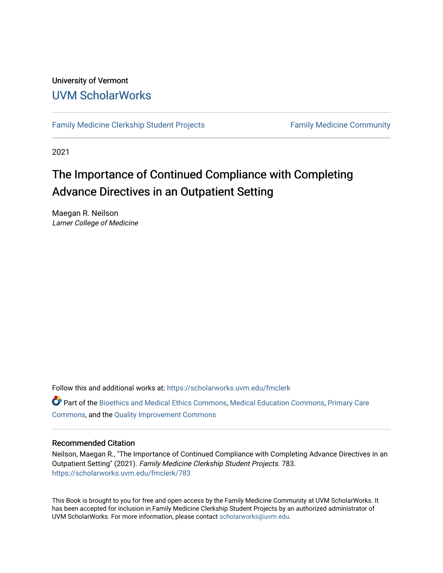### University of Vermont [UVM ScholarWorks](https://scholarworks.uvm.edu/)

[Family Medicine Clerkship Student Projects](https://scholarworks.uvm.edu/fmclerk) Family Medicine Community

2021

### The Importance of Continued Compliance with Completing Advance Directives in an Outpatient Setting

Maegan R. Neilson Larner College of Medicine

Follow this and additional works at: [https://scholarworks.uvm.edu/fmclerk](https://scholarworks.uvm.edu/fmclerk?utm_source=scholarworks.uvm.edu%2Ffmclerk%2F783&utm_medium=PDF&utm_campaign=PDFCoverPages) 

Part of the [Bioethics and Medical Ethics Commons,](https://network.bepress.com/hgg/discipline/650?utm_source=scholarworks.uvm.edu%2Ffmclerk%2F783&utm_medium=PDF&utm_campaign=PDFCoverPages) [Medical Education Commons,](https://network.bepress.com/hgg/discipline/1125?utm_source=scholarworks.uvm.edu%2Ffmclerk%2F783&utm_medium=PDF&utm_campaign=PDFCoverPages) [Primary Care](https://network.bepress.com/hgg/discipline/1092?utm_source=scholarworks.uvm.edu%2Ffmclerk%2F783&utm_medium=PDF&utm_campaign=PDFCoverPages)  [Commons](https://network.bepress.com/hgg/discipline/1092?utm_source=scholarworks.uvm.edu%2Ffmclerk%2F783&utm_medium=PDF&utm_campaign=PDFCoverPages), and the [Quality Improvement Commons](https://network.bepress.com/hgg/discipline/1430?utm_source=scholarworks.uvm.edu%2Ffmclerk%2F783&utm_medium=PDF&utm_campaign=PDFCoverPages) 

#### Recommended Citation

Neilson, Maegan R., "The Importance of Continued Compliance with Completing Advance Directives in an Outpatient Setting" (2021). Family Medicine Clerkship Student Projects. 783. [https://scholarworks.uvm.edu/fmclerk/783](https://scholarworks.uvm.edu/fmclerk/783?utm_source=scholarworks.uvm.edu%2Ffmclerk%2F783&utm_medium=PDF&utm_campaign=PDFCoverPages) 

This Book is brought to you for free and open access by the Family Medicine Community at UVM ScholarWorks. It has been accepted for inclusion in Family Medicine Clerkship Student Projects by an authorized administrator of UVM ScholarWorks. For more information, please contact [scholarworks@uvm.edu.](mailto:scholarworks@uvm.edu)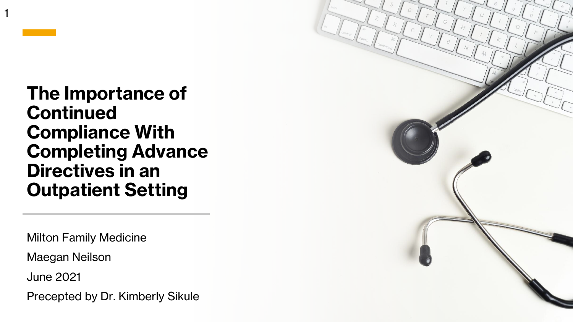1

**The Importance of Continued Compliance With Completing Advance Directives in an Outpatient Setting**

Milton Family Medicine

Maegan Neilson

June 2021

Precepted by Dr. Kimberly Sikule

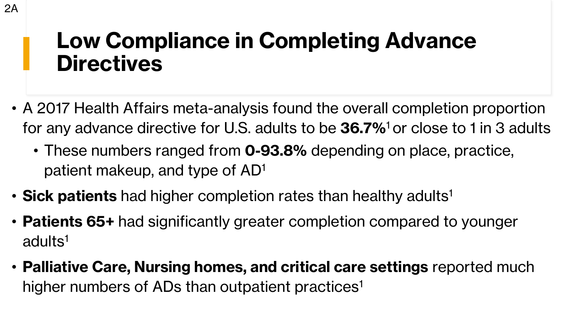## **Low Compliance in Completing Advance Directives**

- A 2017 Health Affairs meta-analysis found the overall completion proportion for any advance directive for U.S. adults to be **36.7%**<sup>1</sup>or close to 1 in 3 adults
	- These numbers ranged from **0-93.8%** depending on place, practice, patient makeup, and type of AD<sup>1</sup>
- **Sick patients** had higher completion rates than healthy adults<sup>1</sup>
- **Patients 65+** had significantly greater completion compared to younger adults<sup>1</sup>
- **Palliative Care, Nursing homes, and critical care settings** reported much higher numbers of ADs than outpatient practices<sup>1</sup>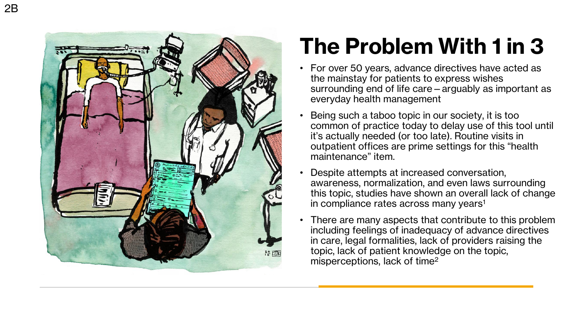

## **The Problem With 1 in 3**

- For over 50 years, advance directives have acted as the mainstay for patients to express wishes surrounding end of life care —arguably as important as everyday health management
- Being such a taboo topic in our society, it is too common of practice today to delay use of this tool until it's actually needed (or too late). Routine visits in outpatient offices are prime settings for this "health maintenance" item.
- Despite attempts at increased conversation, awareness, normalization, and even laws surrounding this topic, studies have shown an overall lack of change in compliance rates across many years 1
- There are many aspects that contribute to this problem including feelings of inadequacy of advance directives in care, legal formalities, lack of providers raising the topic, lack of patient knowledge on the topic, misperceptions, lack of time 2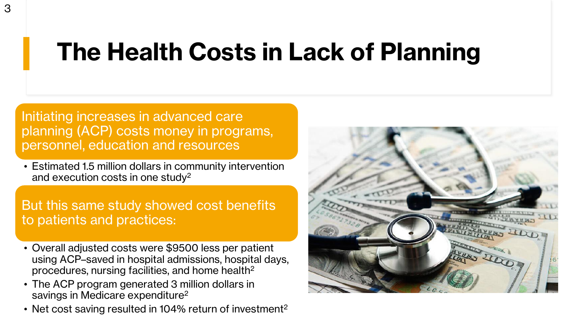# **The Health Costs in Lack of Planning**

Initiating increases in advanced care planning (ACP) costs money in programs, personnel, education and resources

• Estimated 1.5 million dollars in community intervention and execution costs in one study<sup>2</sup>

But this same study showed cost benefits to patients and practices:

- Overall adjusted costs were \$9500 less per patient using ACP–saved in hospital admissions, hospital days, procedures, nursing facilities, and home health<sup>2</sup>
- The ACP program generated 3 million dollars in savings in Medicare expenditure<sup>2</sup>
- Net cost saving resulted in 104% return of investment<sup>2</sup>

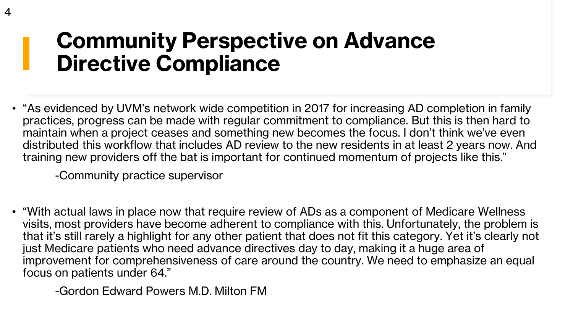## **Community Perspective on Advance Directive Compliance**

• "As evidenced by UVM's network wide competition in 2017 for increasing AD completion in family practices, progress can be made with regular commitment to compliance. But this is then hard to maintain when a project ceases and something new becomes the focus. I don't think we've even distributed this workflow that includes AD review to the new residents in at least 2 years now. And training new providers off the bat is important for continued momentum of projects like this."

-Community practice supervisor

• "With actual laws in place now that require review of ADs as a component of Medicare Wellness visits, most providers have become adherent to compliance with this. Unfortunately, the problem is that it's still rarely a highlight for any other patient that does not fit this category. Yet it's clearly not just Medicare patients who need advance directives day to day, making it a huge area of improvement for comprehensiveness of care around the country. We need to emphasize an equal focus on patients under 64."

-Gordon Edward Powers M.D. Milton FM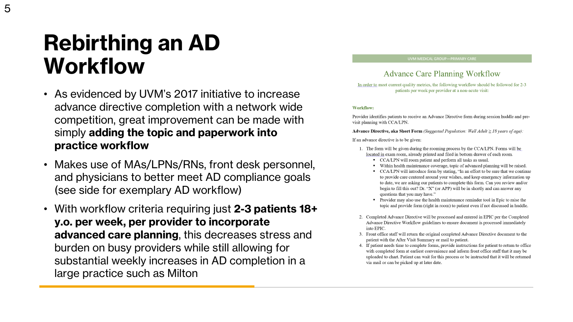## **Rebirthing an AD Workflow**

- As evidenced by UVM's 2017 initiative to increase advance directive completion with a network wide competition, great improvement can be made with simply **adding the topic and paperwork into practice workflow**
- Makes use of MAs/LPNs/RNs, front desk personnel, and physicians to better meet AD compliance goals (see side for exemplary AD workflow)
- With workflow criteria requiring just **2-3 patients 18+ y.o. per week, per provider to incorporate advanced care planning**, this decreases stress and burden on busy providers while still allowing for substantial weekly increases in AD completion in a large practice such as Milton

#### **Advance Care Planning Workflow**

In order to meet current quality metrics, the following workflow should be followed for 2-3 patients per week per provider at a non-acute visit:

#### **Workflow:**

Provider identifies patients to receive an Advance Directive form during session huddle and previsit planning with CCA/LPN.

**Advance Directive, aka Short Form** (Suggested Population: Well Adult  $\geq 18$  years of age):

If an advance directive is to be given:

- 1. The form will be given during the rooming process by the CCA/LPN. Forms will be located in exam room, already printed and filed in bottom drawer of each room.
	- CCA/LPN will room patient and perform all tasks as usual
	- Within health maintenance coverage, topic of advanced planning will be raised.
	- CCA/LPN will introduce form by stating, "In an effort to be sure that we continue to provide care centered around your wishes, and keep emergency information up to date, we are asking our patients to complete this form. Can you review and/or begin to fill this out? Dr. "X" (or APP) will be in shortly and can answer any questions that you may have."
	- Provider may also use the health maintenance reminder tool in Epic to raise the topic and provide form (right in room) to patient even if not discussed in huddle.
- 2. Completed Advance Directive will be processed and entered in EPIC per the Completed Advance Directive Workflow guidelines to ensure document is processed immediately into EPIC.
- 3. Front office staff will return the original completed Advance Directive document to the patient with the After Visit Summary or mail to patient.
- 4. If patient needs time to complete forms, provide instructions for patient to return to office with completed form at earliest convenience and inform front office staff that it may be uploaded to chart. Patient can wait for this process or be instructed that it will be returned via mail or can be picked up at later date.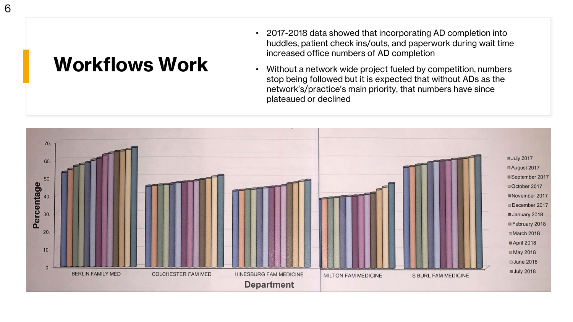### **Workflows Work**

- 2017-2018 data showed that incorporating AD completion into huddles, patient check ins/outs, and paperwork during wait time increased office numbers of AD completion
- Without a network wide project fueled by competition, numbers stop being followed but it is expected that without ADs as the network's/practice's main priority, that numbers have since plateaued or declined

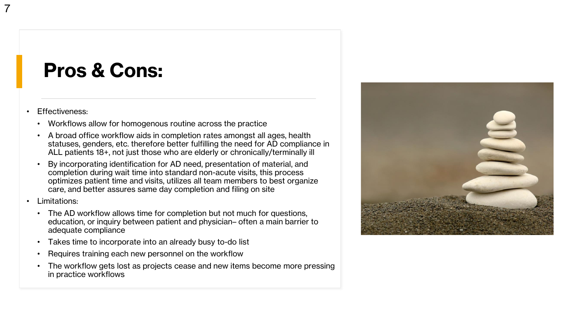### **Pros & Cons:**

#### • Effectiveness:

7

- Workflows allow for homogenous routine across the practice
- A broad office workflow aids in completion rates amongst all ages, health statuses, genders, etc. therefore better fulfilling the need for AD compliance in ALL patients 18+, not just those who are elderly or chronically/terminally ill
- By incorporating identification for AD need, presentation of material, and completion during wait time into standard non-acute visits, this process optimizes patient time and visits, utilizes all team members to best organize care, and better assures same day completion and filing on site
- Limitations:
	- The AD workflow allows time for completion but not much for questions, education, or inquiry between patient and physician– often a main barrier to adequate compliance
	- Takes time to incorporate into an already busy to-do list
	- Requires training each new personnel on the workflow
	- The workflow gets lost as projects cease and new items become more pressing in practice workflows

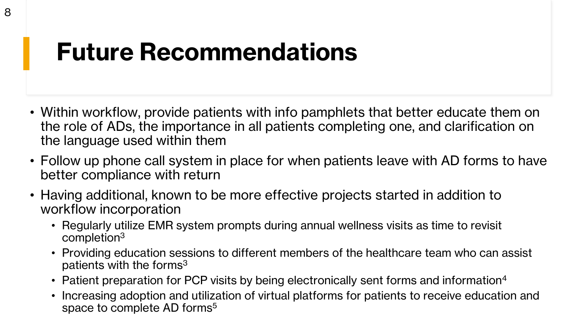## **Future Recommendations**

- Within workflow, provide patients with info pamphlets that better educate them on the role of ADs, the importance in all patients completing one, and clarification on the language used within them
- Follow up phone call system in place for when patients leave with AD forms to have better compliance with return
- Having additional, known to be more effective projects started in addition to workflow incorporation
	- Regularly utilize EMR system prompts during annual wellness visits as time to revisit completion<sup>3</sup>
	- Providing education sessions to different members of the healthcare team who can assist patients with the forms<sup>3</sup>
	- Patient preparation for PCP visits by being electronically sent forms and information<sup>4</sup>
	- Increasing adoption and utilization of virtual platforms for patients to receive education and space to complete AD forms<sup>5</sup>